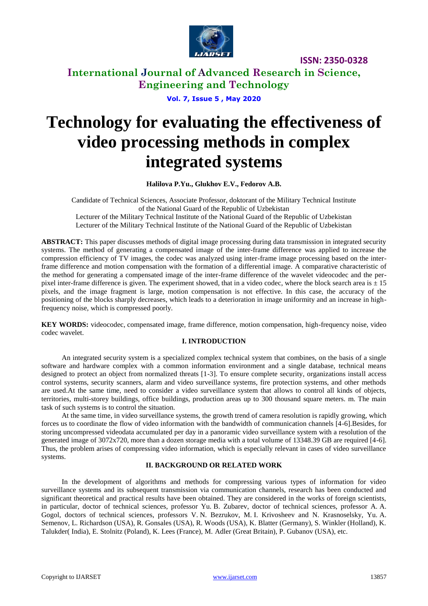

**International Journal of Advanced Research in Science, Engineering and Technology**

**Vol. 7, Issue 5 , May 2020**

# **Technology for evaluating the effectiveness of video processing methods in complex integrated systems**

**Halilova P.Yu., Glukhov E.V., Fedorov A.B.**

Candidate of Technical Sciences, Associate Professor, doktorant of the Military Technical Institute of the National Guard of the Republic of Uzbekistan Lecturer of the Military Technical Institute of the National Guard of the Republic of Uzbekistan Lecturer of the Military Technical Institute of the National Guard of the Republic of Uzbekistan

**ABSTRACT:** This paper discusses methods of digital image processing during data transmission in integrated security systems. The method of generating a compensated image of the inter-frame difference was applied to increase the compression efficiency of TV images, the codec was analyzed using inter-frame image processing based on the interframe difference and motion compensation with the formation of a differential image. A comparative characteristic of the method for generating a compensated image of the inter-frame difference of the wavelet videocodec and the perpixel inter-frame difference is given. The experiment showed, that in a video codec, where the block search area is  $\pm 15$ pixels, and the image fragment is large, motion compensation is not effective. In this case, the accuracy of the positioning of the blocks sharply decreases, which leads to a deterioration in image uniformity and an increase in highfrequency noise, which is compressed poorly.

**KEY WORDS:** videocodec, compensated image, frame difference, motion compensation, high-frequency noise, video codec wavelet.

### **I. INTRODUCTION**

An integrated security system is a specialized complex technical system that combines, on the basis of a single software and hardware complex with a common information environment and a single database, technical means designed to protect an object from normalized threats [1-3]. To ensure complete security, organizations install access control systems, security scanners, alarm and video surveillance systems, fire protection systems, and other methods are used.At the same time, need to consider a video surveillance system that allows to control all kinds of objects, territories, multi-storey buildings, office buildings, production areas up to 300 thousand square meters. m. The main task of such systems is to control the situation.

At the same time, in video surveillance systems, the growth trend of camera resolution is rapidly growing, which forces us to coordinate the flow of video information with the bandwidth of communication channels [4-6].Besides, for storing uncompressed videodata accumulated per day in a panoramic video surveillance system with a resolution of the generated image of 3072x720, more than a dozen storage media with a total volume of 13348.39 GB are required [4-6]. Thus, the problem arises of compressing video information, which is especially relevant in cases of video surveillance systems.

### **II. BACKGROUND OR RELATED WORK**

In the development of algorithms and methods for compressing various types of information for video surveillance systems and its subsequent transmission via communication channels, research has been conducted and significant theoretical and practical results have been obtained. They are considered in the works of foreign scientists, in particular, doctor of technical sciences, professor Yu. B. Zubarev, doctor of technical sciences, professor A. A. Gogol, doctors of technical sciences, professors V. N. Bezrukov, M. I. Krivosheev and N. Krasnoselsky, Yu. A. Semenov, L. Richardson (USA), R. Gonsales (USA), R. Woods (USA), K. Blatter (Germany), S. Winkler (Holland), K. Talukder( India), E. Stolnitz (Poland), K. Lees (France), M. Adler (Great Britain), P. Gubanov (USA), etc.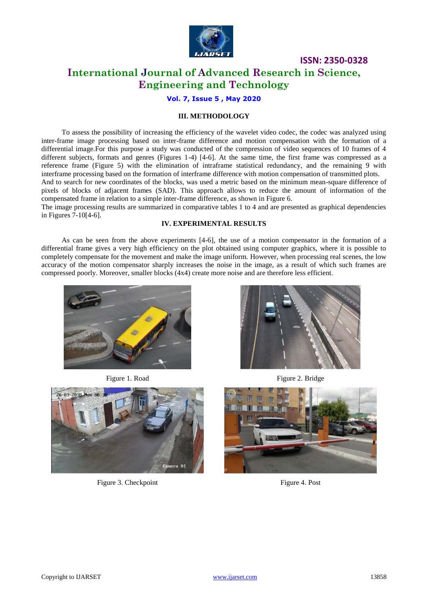

## **International Journal of Advanced Research in Science, Engineering and Technology**

**Vol. 7, Issue 5 , May 2020**

### **III. METHODOLOGY**

To assess the possibility of increasing the efficiency of the wavelet video codec, the codec was analyzed using inter-frame image processing based on inter-frame difference and motion compensation with the formation of a differential image.For this purpose a study was conducted of the compression of video sequences of 10 frames of 4 different subjects, formats and genres (Figures 1-4) [4-6]. At the same time, the first frame was compressed as a reference frame (Figure 5) with the elimination of intraframe statistical redundancy, and the remaining 9 with interframe processing based on the formation of interframe difference with motion compensation of transmitted plots. And to search for new coordinates of the blocks, was used a metric based on the minimum mean-square difference of pixels of blocks of adjacent frames (SAD). This approach allows to reduce the amount of information of the compensated frame in relation to a simple inter-frame difference, as shown in Figure 6.

The image processing results are summarized in comparative tables 1 to 4 and are presented as graphical dependencies in Figures 7-10[4-6].

#### **IV. EXPERIMENTAL RESULTS**

As can be seen from the above experiments [4-6], the use of a motion compensator in the formation of a differential frame gives a very high efficiency on the plot obtained using computer graphics, where it is possible to completely compensate for the movement and make the image uniform. However, when processing real scenes, the low accuracy of the motion compensator sharply increases the noise in the image, as a result of which such frames are compressed poorly. Moreover, smaller blocks (4x4) create more noise and are therefore less efficient.





Figure 3. Checkpoint Figure 4. Post



Figure 1. Road Figure 2. Bridge

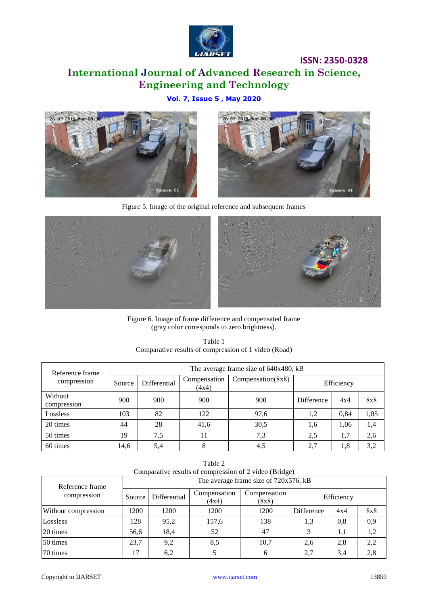

# **International Journal of Advanced Research in Science, Engineering and Technology**

### **Vol. 7, Issue 5 , May 2020**





Figure 5. Image of the original reference and subsequent frames



Figure 6. Image of frame difference and compensated frame (gray color corresponds to zero brightness).

| Table 1                                              |
|------------------------------------------------------|
| Comparative results of compression of 1 video (Road) |

| Reference frame<br>compression | The average frame size of 640x480, kB |              |                       |                       |                   |      |      |  |  |
|--------------------------------|---------------------------------------|--------------|-----------------------|-----------------------|-------------------|------|------|--|--|
|                                | Source                                | Differential | Compensation<br>(4x4) | Compensation( $8x8$ ) | Efficiency        |      |      |  |  |
| Without<br>compression         | 900                                   | 900          | 900                   | 900                   | <b>Difference</b> | 4x4  | 8x8  |  |  |
| Lossless                       | 103                                   | 82           | 122                   | 97,6                  | 1,2               | 0,84 | 1,05 |  |  |
| 20 times                       | 44                                    | 28           | 41,6                  | 30,5                  | 1,6               | 1,06 | 1,4  |  |  |
| 50 times                       | 19                                    | 7,5          | 11                    | 7,3                   | 2.5               | 1,7  | 2,6  |  |  |
| 60 times                       | 14,6                                  | 5,4          |                       | 4,5                   | 2,7               | 1.8  | 3,2  |  |  |

| Table 2                                                |
|--------------------------------------------------------|
| Comparative results of compression of 2 video (Bridge) |
| $\mathbb{R}^n$ c $\mathbb{R}^n$ c $\mathbb{R}^n$       |

| Reference frame<br>compression | The average frame size of 720x576, kB |              |                       |                       |            |     |     |  |
|--------------------------------|---------------------------------------|--------------|-----------------------|-----------------------|------------|-----|-----|--|
|                                | Source                                | Differential | Compensation<br>(4x4) | Compensation<br>(8x8) | Efficiency |     |     |  |
| Without compression            | 1200                                  | 1200         | 1200                  | 1200                  | Difference | 4x4 | 8x8 |  |
| Lossless                       | 128                                   | 95,2         | 157,6                 | 138                   | 1,3        | 0.8 | 0,9 |  |
| 20 times                       | 56.6                                  | 18,4         | 52                    | 47                    | 3          | 1,1 | 1,2 |  |
| 50 times                       | 23.7                                  | 9,2          | 8,5                   | 10,7                  | 2,6        | 2,8 | 2,2 |  |
| 70 times                       | 17                                    | 6,2          |                       | 6                     | 2,7        | 3.4 | 2,8 |  |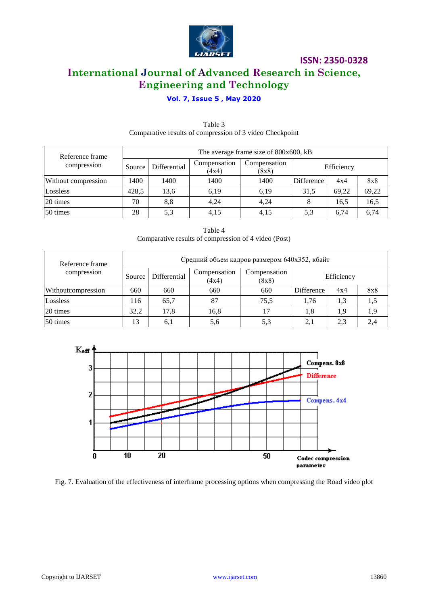

# **ISSN: 2350-0328 International Journal of Advanced Research in Science, Engineering and Technology**

### **Vol. 7, Issue 5 , May 2020**

| Reference frame<br>compression | The average frame size of 800x600, kB |              |                       |                       |            |       |       |  |
|--------------------------------|---------------------------------------|--------------|-----------------------|-----------------------|------------|-------|-------|--|
|                                | Source                                | Differential | Compensation<br>(4x4) | Compensation<br>(8x8) | Efficiency |       |       |  |
| Without compression            | 1400                                  | 1400         | 1400                  | 1400                  | Difference | 4x4   | 8x8   |  |
| Lossless                       | 428,5                                 | 13,6         | 6,19                  | 6,19                  | 31,5       | 69.22 | 69,22 |  |
| 20 times                       | 70                                    | 8,8          | 4,24                  | 4,24                  |            | 16,5  | 16,5  |  |
| 50 times                       | 28                                    | 5,3          | 4,15                  | 4,15                  | 5.3        | 6.74  | 6,74  |  |

### Table 3 Comparative results of compression of 3 video Checkpoint

| Table 4                                              |
|------------------------------------------------------|
| Comparative results of compression of 4 video (Post) |

| Reference frame    | Средний объем кадров размером 640х352, кбайт |              |                       |                       |            |     |     |  |  |
|--------------------|----------------------------------------------|--------------|-----------------------|-----------------------|------------|-----|-----|--|--|
| compression        | Source                                       | Differential | Compensation<br>(4x4) | Compensation<br>(8x8) | Efficiency |     |     |  |  |
| Withoutcompression | 660                                          | 660          | 660                   | 660                   | Difference | 4x4 | 8x8 |  |  |
| Lossless           | 116                                          | 65,7         | 87                    | 75.5                  | 1.76       | 1.3 | 1,5 |  |  |
| 20 times           | 32,2                                         | 17,8         | 16,8                  | 17                    | 1,8        | 1.9 | 1.9 |  |  |
| 50 times           | 13                                           | 6,1          | 5,6                   | 5,3                   | 2,1        | 2.3 | 2,4 |  |  |



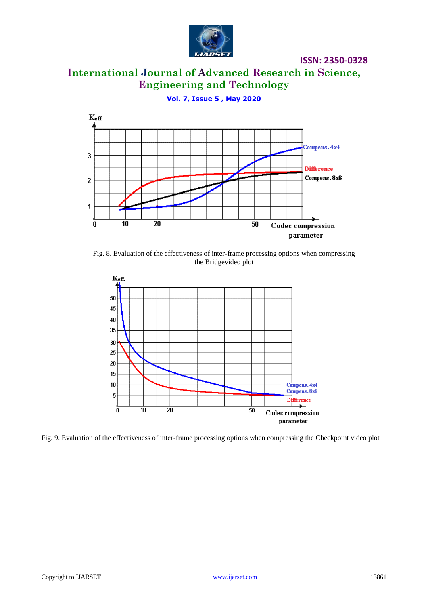

**International Journal of Advanced Research in Science, Engineering and Technology**

**Vol. 7, Issue 5 , May 2020**



Fig. 8. Evaluation of the effectiveness of inter-frame processing options when compressing the Bridgevideo plot



Fig. 9. Evaluation of the effectiveness of inter-frame processing options when compressing the Checkpoint video plot